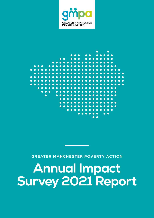

### ┍ C C  $\bullet$  $\bullet$  $\bullet$  $\overline{\mathbf{C}}$ Ċ C ┍ r  $\bullet$  $\bullet$ C œ C ◠  $\bullet$  $\bullet$ C  $\bullet$  $\bullet$  $\bullet$  $\blacksquare$  $\bullet$  $\bullet$ C  $\bullet$  $\bullet$ ┍  $\sqrt{2}$  $\bullet$ **CONTENT**  $\bullet$  $\bullet$ C  $\epsilon$ **CONTRACT** C **CO** ∩ **O**  $\bullet$  $\bullet$  $\bullet$ **O**  $\bullet$  $\bullet$  $\bullet$ **C**

**GREATER MANCHESTER POVERTY ACTION**

# **Annual Impact Survey 2021 Report**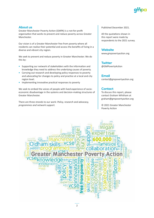## **About us**

Greater Manchester Poverty Action (GMPA) is a not-for-profit organisation that works to prevent and reduce poverty across Greater Manchester.

Our vision is of a Greater Manchester free from poverty where all residents can realise their potential and access the benefits of living in a diverse and vibrant city region.

We seek to prevent and reduce poverty in Greater Manchester. We do this by:

- **•** Supporting our network of stakeholders with the information and knowledge they need to address the underlying causes of poverty.
- **•** Carrying out research and developing policy responses to poverty and advocating for changes to policy and practice at a local and city region level.
- **•** Implementing innovative practical responses to poverty

We seek to embed the voices of people with lived experience of socioeconomic disadvantage in the systems and decision-making structures of Greater Manchester.

There are three strands to our work: *Policy, research and advocacy, programmes and network support.*

Published December 2021.

All the quotations shown in this report were made by respondents to the 2021 survey.

## **Website**

[www.gmpovertyaction.org](http://www.gmpovertyaction.org)

**Twitter** [@GMPovertyAction](https://twitter.com/GMPovertyAction)

## **Email**

[contact@gmpovertyaction.org](mailto:contact@gmpovertyaction.org)

## **Contact**

To discuss this report, please contact Graham Whitham at [graham@gmpovertyaction.org](mailto:graham@gmpovertyaction.org)

© 2021 Greater Manchester Poverty Action

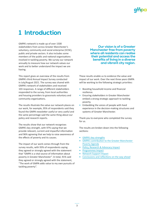## **1 Introduction**

GMPA's network is made up of over 1500 stakeholders from across Greater Manchester's voluntary, community and social enterprise (VCSE), public and private sectors. It also includes some members of the public and national organisations involved in tackling poverty. We survey our network annually to measure how our network values our work and to better understand the impact we are having.

This report gives an overview of the results from GMPA's third Annual Impact Survey conducted in July/August 2021. The survey was shared with GMPA's network of stakeholders and received 103 responses. A range of different stakeholders responded to the survey, from local authorities and housing providers to grassroots voluntary and community organisations.

The results illustrate the value our network places on our work, for example, 95% of respondents said they found the GMPA newsletter useful or very useful and the same percentage said the same thing about our policy and research reports.

The results show that our network recognises GMPA's key strength, with 97% saying that we provide relevant, current and impactful information and 96% agreeing that we help to raise awareness of the effects of poverty and its causes.

The impact of our work comes through from the survey results, with 93% of respondents saying they agreed or strongly agreed with the statement that "GMPA is a vital source of information about poverty in Greater Manchester". In total, 91% said they agreed or strongly agreed with the statement, "The work of GMPA adds value to my own pursuits of tackling poverty".

**Our vision is of a Greater Manchester free from poverty where all residents can realise their potential and access the benefits of living in a diverse and vibrant city region.**

These results enable us to evidence the value and impact of our work. Over the next three years GMPA will be working to the following strategic priorities:

- **•** Boosting household income and financial resilience.
- **•** Ensuring stakeholders in Greater Manchester embed a strong strategic approach to tackling poverty.
- **•** Embedding the voices of people with lived experience in the decision-making structures and systems of Greater Manchester.

Thank you to everyone who completed the survey for us.

The results are broken down into the following sections:

- **•** GMPA's key strengths
- **•** GMPA's contribution to the Greater Manchester Poverty Agenda
- **•** [Policy, Research & Advocacy Impact](#page-5-0)
- **•** [Programmes Impact](#page-6-0)
- **•** [Network Support Impact](#page-7-0)
- **•** [Conclusions and reflections on the way ahead](#page-8-0)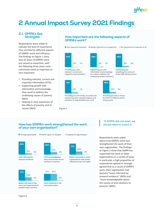## ampa

## **2 Annual Impact Survey 2021 Findings**

### **2.1 GMPA's Key Strengths**

Respondents were asked to indicate the level of importance they ascribed to different aspects of GMPA's work and influence. The findings at Figure 1 show that all areas of GMPA's work are valued as important, with the following three areas most commonly rated as important or very important:

- **•** Providing relevant, current and impactful information (97%)
- **•** Supporting people with information and knowledge they need to address the underlying causes of poverty (96%)
- **•** Helping to raise awareness of the effects of poverty and its causes (96%)

## **How important are the following aspects of GMPA's work?**



Providing you with timely, accurate and relevant poverty-related evidence and statistics to help facilitate your work

Figure 1

Providing you with a means by which to influence policy and practice

### **How has GMPA's work strengthened the work of your own organisation?**



### **"If GMPA did not exist, we would need to invent it."**

Respondents were asked about how GMPA's work had strengthened the work of their own organisation. The findings at Figure 2 show that GMPA has supported the work of other organisations in a variety of ways. In particular, a high proportion of respondents agreed or strongly agreed that as a result of GMPA's work, their organisation had become "more informed by research evidence" (89%) and "more knowledgeable about the causes of and solutions to poverty" (80%).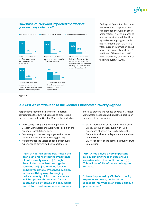### 93% 79% 91% 59% 84% 6% 20% 8% 37% 15% 1% 1% 1% 4% 1% GMPA is a vital source of information about poverty in Greater **Manchester** The work of GMPA adds value to my own pursuits of tackling poverty I have found out things in the GMPA newsletter or through other GMPA activities that have helped to shape the way in which my work is delivered The work of GMPA has directly informed policy and practice in my organisation The work of GMPA has helped to increase the impact of my own work upon people experiencing poverty Strongly agree/agree **Disagree as a strongly disagree How has GMPA's work impacted the work of your own organisation? Neither agree nor disagree**

Findings at Figure 3 further show that GMPA has supported and strengthened the work of other organisations. A large majority of respondents indicated that they agreed or strongly agreed with the statements that "GMPA is a vital source of information about poverty in Greater Manchester" (93%) and "The work of GMPA adds value to my own pursuits of tackling poverty" (91%).

### Figure 3

## **2.2 GMPA's contribution to the Greater Manchester Poverty Agenda**

Respondents identified a number of important contributions that GMPA has made to progressing the poverty agenda in Greater Manchester, including:

- **•** Persistently raising the profile of poverty in Greater Manchester and working to keep it on the agenda of local stakeholders.
- **•** Convening and networking organisations who have common aims in addressing poverty.
- **•** Advocating for the voices of people with lived experience of poverty to be key partners in

**"[GMPA has] raised the bar. Raised the profile and highlighted the importance of anti-poverty work. […] Brought like-minded organisations together, coordinated […] campaigns focusing on benefits uptake. Presented decision makers with key ways to tangibly reduce poverty, giving them evidence which supports the reasons for this accompanied by compelling arguments and data to back up recommendations."** efforts to prevent and reduce poverty in Greater Manchester. Respondents highlighted particular examples of this, including:

- GMPA's facilitation of the Poverty Reference Group, a group of individuals with lived experience of poverty set up to advise the Greater Manchester Independent Inequalities Commission.
- GMPA's support of the Tameside Poverty Truth Commission.

**"GMPA has played a very important role in bringing those stories of lived experience into the public domain […] This will hopefully influence policy going forward."**

**"…I was impressed by GMPA's capacity to produce correct, unbiased and digestible information on such a difficult phenomenon."**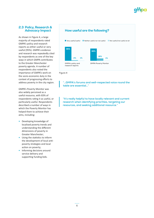## <span id="page-5-0"></span>**2.3 Policy, Research & Advocacy Impact**

As shown in Figure 4, a large majority of respondents rated GMPA's policy and research reports as either useful or very useful (95%). GMPA's evidence and research was repeatedly cited by respondents as one of the key ways in which GMPA contributes to the Greater Manchester poverty agenda. A number of respondents also noted the importance of GMPA's work on the socio-economic duty in the context of progressing efforts to address poverty in the city region.

GMPA's Poverty Monitor was also widely perceived as a useful resource, with 83% of respondents rating it as useful, or particularly useful. Respondents described a number of ways in which the Poverty Monitor has helped them to achieve their aims, including:

- **•** Developing knowledge of localised poverty trends and understanding the different dimensions of poverty in Greater Manchester;
- **•** Using the statistics to inform the development of local antipoverty strategies and local action on poverty;
- **•** Informing decisions around service delivery and supporting funding bids.

## **How useful are the following?**



Figure 4

**"…GMPA's forums and well-respected voice round the table are essential…"**

**"It's really helpful to have locally relevant and current research when identifying priorities, targeting our resources, and seeking additional resource."**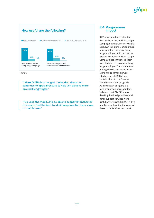

Figure 5

**"I think GMPA has banged the loudest drum and continues to apply pressure to help GM achieve more around living wages!"**

**"I've used the map […] to be able to support Manchester citizens to find the best food aid response for them, close to their homes"**

### <span id="page-6-0"></span>**2.4 Programmes Impact**

87% of respondents rated the Greater Manchester Living Wage Campaign as useful or very useful, as shown in Figure 5. Over a third of respondents who are living wage employers told us that the Greater Manchester Living Wage Campaign had influenced their own decision to become a living wage employer. The momentum driving the Greater Manchester Living Wage campaign was cited as one of GMPA's key contributions to the Greater Manchester poverty agenda. As also shown at Figure 5, a high proportion of respondents indicated that GMPA's maps detailing food aid providers and other support services were useful or very useful (82%), with a number emphasising the value of these tools for their own work.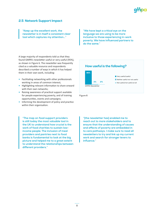## <span id="page-7-0"></span>**2.5 Network Support Impact**

**"Keep up the excellent work, the newsletter is in itself a consistent clear tool which captures my attention…"**

A large majority of respondents told us that they found GMPA's newsletter useful or very useful (95%), as shown in Figure 6. The newsletter was frequently cited as a valuable resource and respondents described a number of ways in which it has helped them in their own work, including:

- **•** Facilitating networking with other professionals working in areas of common interest;
- **•** Highlighting relevant information to share onward with their own networks;
- **•** Raising awareness of practical support available for people experiencing poverty, and of training opportunities, events and campaigns;
- **•** Informing the development of policy and practice within their organisation.

**"The map on food support providers is still today the most valuable tool in the UK to understand how crucial is the work of food charities to sustain lowincome people. The inclusion of meal providers and pantries next to food banks is fundamental to look at the big picture and helped me to a great extent to understand the relationships between different providers."**

**"We have kept a critical eye on the language we are using to be more inclusive to those experiencing in-work poverty. We have influenced partners to do the same."**

## **How useful is the following?**



Figure 6

**"[the newsletter has] enabled me to reach out to more stakeholders and to ensure that the understanding of causes and effects of poverty are embedded in to care pathways. I make sure to read all newsletters to try and link up my current work and search for stronger levers to influence."**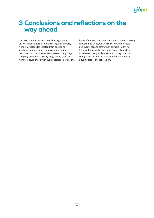## ampa

## <span id="page-8-0"></span>**3 Conclusions and reflections on the way ahead**

The 2021 Annual Impact survey has highlighted GMPA's important role in progressing anti-poverty work in Greater Manchester, from delivering insightful policy, research and communications, to the success of the Greater Manchester Living Wage Campaign, our food security programmes, and our work to ensure those with lived experience are at the heart of efforts to prevent and reduce poverty. Going forward into 2022, we will seek to build on these achievements and strengthen our role in driving forward the poverty agenda in Greater Manchester to achieve strong and consistent strategic and onthe-ground responses to preventing and reducing poverty across the city region.